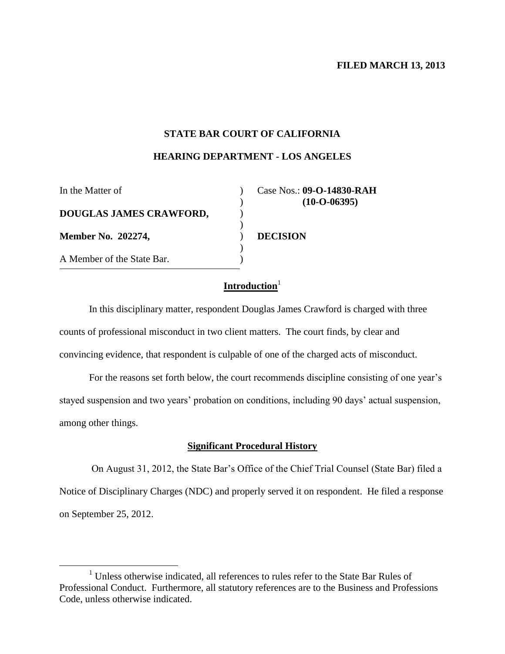### **FILED MARCH 13, 2013**

### **STATE BAR COURT OF CALIFORNIA**

# **HEARING DEPARTMENT - LOS ANGELES**

) ) ) )  $\sum$ )  $\lambda$ 

In the Matter of **DOUGLAS JAMES CRAWFORD, Member No. 202274,** A Member of the State Bar.

 $\overline{a}$ 

Case Nos.: **09-O-14830-RAH (10-O-06395)**

**DECISION** 

# Introduction<sup>1</sup>

In this disciplinary matter, respondent Douglas James Crawford is charged with three counts of professional misconduct in two client matters. The court finds, by clear and convincing evidence, that respondent is culpable of one of the charged acts of misconduct.

For the reasons set forth below, the court recommends discipline consisting of one year's stayed suspension and two years' probation on conditions, including 90 days' actual suspension, among other things.

# **Significant Procedural History**

On August 31, 2012, the State Bar's Office of the Chief Trial Counsel (State Bar) filed a Notice of Disciplinary Charges (NDC) and properly served it on respondent. He filed a response on September 25, 2012.

<sup>&</sup>lt;sup>1</sup> Unless otherwise indicated, all references to rules refer to the State Bar Rules of Professional Conduct. Furthermore, all statutory references are to the Business and Professions Code, unless otherwise indicated.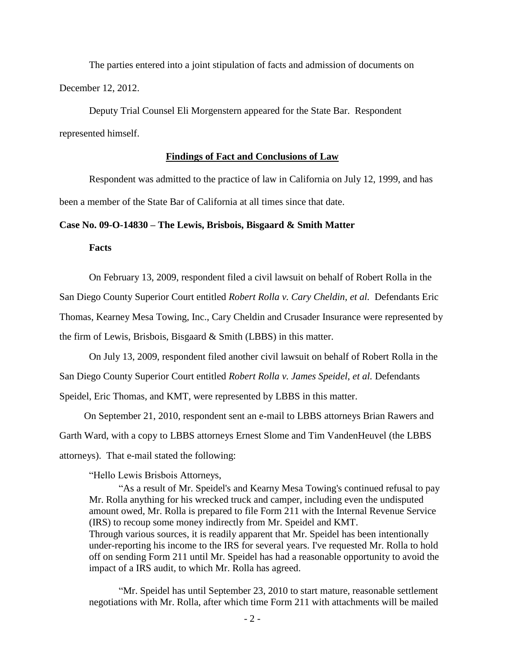The parties entered into a joint stipulation of facts and admission of documents on December 12, 2012.

Deputy Trial Counsel Eli Morgenstern appeared for the State Bar. Respondent represented himself.

#### **Findings of Fact and Conclusions of Law**

Respondent was admitted to the practice of law in California on July 12, 1999, and has been a member of the State Bar of California at all times since that date.

### **Case No. 09-O-14830 – The Lewis, Brisbois, Bisgaard & Smith Matter**

**Facts**

On February 13, 2009, respondent filed a civil lawsuit on behalf of Robert Rolla in the

San Diego County Superior Court entitled *Robert Rolla v. Cary Cheldin*, *et al.* Defendants Eric

Thomas, Kearney Mesa Towing, Inc., Cary Cheldin and Crusader Insurance were represented by

the firm of Lewis, Brisbois, Bisgaard & Smith (LBBS) in this matter.

On July 13, 2009, respondent filed another civil lawsuit on behalf of Robert Rolla in the San Diego County Superior Court entitled *Robert Rolla v. James Speidel, et al.* Defendants

Speidel, Eric Thomas, and KMT, were represented by LBBS in this matter.

 On September 21, 2010, respondent sent an e-mail to LBBS attorneys Brian Rawers and Garth Ward, with a copy to LBBS attorneys Ernest Slome and Tim VandenHeuvel (the LBBS attorneys). That e-mail stated the following:

"Hello Lewis Brisbois Attorneys,

"As a result of Mr. Speidel's and Kearny Mesa Towing's continued refusal to pay Mr. Rolla anything for his wrecked truck and camper, including even the undisputed amount owed, Mr. Rolla is prepared to file Form 211 with the Internal Revenue Service (IRS) to recoup some money indirectly from Mr. Speidel and KMT. Through various sources, it is readily apparent that Mr. Speidel has been intentionally under-reporting his income to the IRS for several years. I've requested Mr. Rolla to hold off on sending Form 211 until Mr. Speidel has had a reasonable opportunity to avoid the impact of a IRS audit, to which Mr. Rolla has agreed.

"Mr. Speidel has until September 23, 2010 to start mature, reasonable settlement negotiations with Mr. Rolla, after which time Form 211 with attachments will be mailed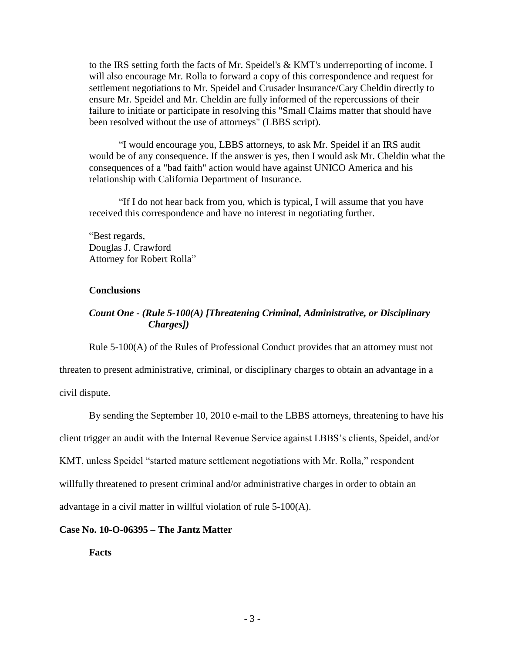to the IRS setting forth the facts of Mr. Speidel's & KMT's underreporting of income. I will also encourage Mr. Rolla to forward a copy of this correspondence and request for settlement negotiations to Mr. Speidel and Crusader Insurance/Cary Cheldin directly to ensure Mr. Speidel and Mr. Cheldin are fully informed of the repercussions of their failure to initiate or participate in resolving this "Small Claims matter that should have been resolved without the use of attorneys" (LBBS script).

"I would encourage you, LBBS attorneys, to ask Mr. Speidel if an IRS audit would be of any consequence. If the answer is yes, then I would ask Mr. Cheldin what the consequences of a "bad faith" action would have against UNICO America and his relationship with California Department of Insurance.

"If I do not hear back from you, which is typical, I will assume that you have received this correspondence and have no interest in negotiating further.

"Best regards, Douglas J. Crawford Attorney for Robert Rolla"

# **Conclusions**

# *Count One - (Rule 5-100(A) [Threatening Criminal, Administrative, or Disciplinary Charges])*

Rule 5-100(A) of the Rules of Professional Conduct provides that an attorney must not threaten to present administrative, criminal, or disciplinary charges to obtain an advantage in a civil dispute.

By sending the September 10, 2010 e-mail to the LBBS attorneys, threatening to have his client trigger an audit with the Internal Revenue Service against LBBS's clients, Speidel, and/or KMT, unless Speidel "started mature settlement negotiations with Mr. Rolla," respondent willfully threatened to present criminal and/or administrative charges in order to obtain an advantage in a civil matter in willful violation of rule 5-100(A).

# **Case No. 10-O-06395 – The Jantz Matter**

**Facts**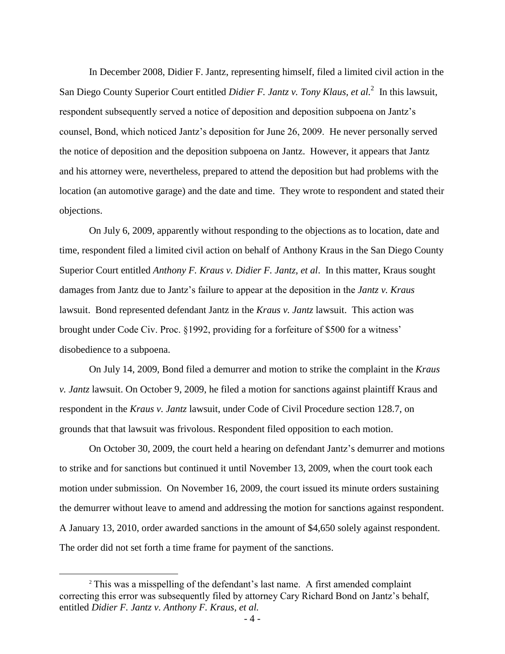In December 2008, Didier F. Jantz, representing himself, filed a limited civil action in the San Diego County Superior Court entitled *Didier F. Jantz v. Tony Klaus, et al.*<sup>2</sup> In this lawsuit, respondent subsequently served a notice of deposition and deposition subpoena on Jantz's counsel, Bond, which noticed Jantz's deposition for June 26, 2009. He never personally served the notice of deposition and the deposition subpoena on Jantz. However, it appears that Jantz and his attorney were, nevertheless, prepared to attend the deposition but had problems with the location (an automotive garage) and the date and time. They wrote to respondent and stated their objections.

On July 6, 2009, apparently without responding to the objections as to location, date and time, respondent filed a limited civil action on behalf of Anthony Kraus in the San Diego County Superior Court entitled *Anthony F. Kraus v. Didier F. Jantz, et al*. In this matter, Kraus sought damages from Jantz due to Jantz's failure to appear at the deposition in the *Jantz v. Kraus* lawsuit. Bond represented defendant Jantz in the *Kraus v. Jantz* lawsuit. This action was brought under Code Civ. Proc. §1992, providing for a forfeiture of \$500 for a witness' disobedience to a subpoena.

On July 14, 2009, Bond filed a demurrer and motion to strike the complaint in the *Kraus v. Jantz* lawsuit. On October 9, 2009, he filed a motion for sanctions against plaintiff Kraus and respondent in the *Kraus v. Jantz* lawsuit, under Code of Civil Procedure section 128.7, on grounds that that lawsuit was frivolous. Respondent filed opposition to each motion.

On October 30, 2009, the court held a hearing on defendant Jantz's demurrer and motions to strike and for sanctions but continued it until November 13, 2009, when the court took each motion under submission. On November 16, 2009, the court issued its minute orders sustaining the demurrer without leave to amend and addressing the motion for sanctions against respondent. A January 13, 2010, order awarded sanctions in the amount of \$4,650 solely against respondent. The order did not set forth a time frame for payment of the sanctions.

 $\overline{a}$ 

<sup>2</sup> This was a misspelling of the defendant's last name. A first amended complaint correcting this error was subsequently filed by attorney Cary Richard Bond on Jantz's behalf, entitled *Didier F. Jantz v. Anthony F. Kraus, et al.*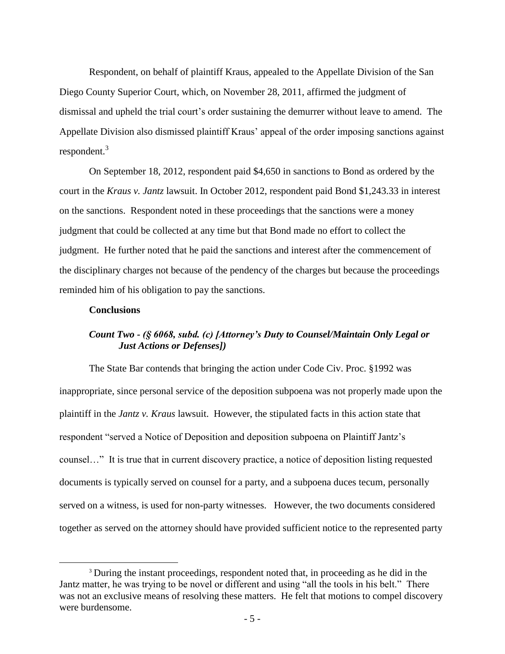Respondent, on behalf of plaintiff Kraus, appealed to the Appellate Division of the San Diego County Superior Court, which, on November 28, 2011, affirmed the judgment of dismissal and upheld the trial court's order sustaining the demurrer without leave to amend. The Appellate Division also dismissed plaintiff Kraus' appeal of the order imposing sanctions against respondent.<sup>3</sup>

On September 18, 2012, respondent paid \$4,650 in sanctions to Bond as ordered by the court in the *Kraus v. Jantz* lawsuit. In October 2012, respondent paid Bond \$1,243.33 in interest on the sanctions. Respondent noted in these proceedings that the sanctions were a money judgment that could be collected at any time but that Bond made no effort to collect the judgment. He further noted that he paid the sanctions and interest after the commencement of the disciplinary charges not because of the pendency of the charges but because the proceedings reminded him of his obligation to pay the sanctions.

#### **Conclusions**

 $\overline{a}$ 

# *Count Two - (§ 6068, subd. (c) [Attorney's Duty to Counsel/Maintain Only Legal or Just Actions or Defenses])*

The State Bar contends that bringing the action under Code Civ. Proc. §1992 was inappropriate, since personal service of the deposition subpoena was not properly made upon the plaintiff in the *Jantz v. Kraus* lawsuit. However, the stipulated facts in this action state that respondent "served a Notice of Deposition and deposition subpoena on Plaintiff Jantz's counsel…" It is true that in current discovery practice, a notice of deposition listing requested documents is typically served on counsel for a party, and a subpoena duces tecum, personally served on a witness, is used for non-party witnesses. However, the two documents considered together as served on the attorney should have provided sufficient notice to the represented party

<sup>&</sup>lt;sup>3</sup> During the instant proceedings, respondent noted that, in proceeding as he did in the Jantz matter, he was trying to be novel or different and using "all the tools in his belt." There was not an exclusive means of resolving these matters. He felt that motions to compel discovery were burdensome.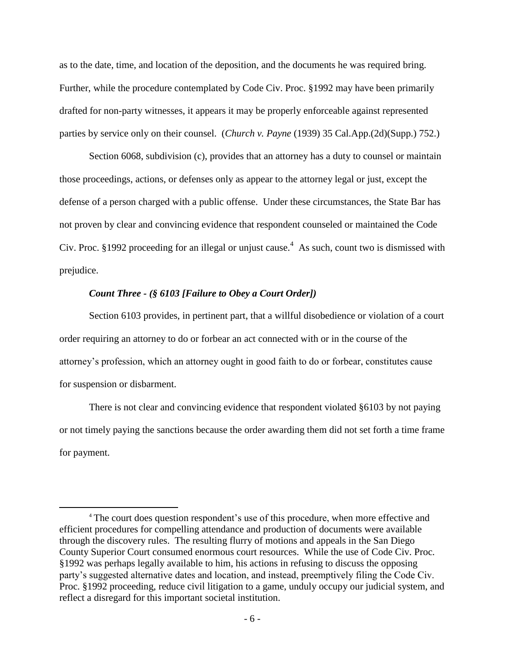as to the date, time, and location of the deposition, and the documents he was required bring. Further, while the procedure contemplated by Code Civ. Proc. §1992 may have been primarily drafted for non-party witnesses, it appears it may be properly enforceable against represented parties by service only on their counsel. (*Church v. Payne* (1939) 35 Cal.App.(2d)(Supp.) 752.)

Section 6068, subdivision (c), provides that an attorney has a duty to counsel or maintain those proceedings, actions, or defenses only as appear to the attorney legal or just, except the defense of a person charged with a public offense. Under these circumstances, the State Bar has not proven by clear and convincing evidence that respondent counseled or maintained the Code Civ. Proc. §1992 proceeding for an illegal or unjust cause.<sup>4</sup> As such, count two is dismissed with prejudice.

### *Count Three - (§ 6103 [Failure to Obey a Court Order])*

 $\overline{a}$ 

Section 6103 provides, in pertinent part, that a willful disobedience or violation of a court order requiring an attorney to do or forbear an act connected with or in the course of the attorney's profession, which an attorney ought in good faith to do or forbear, constitutes cause for suspension or disbarment.

There is not clear and convincing evidence that respondent violated §6103 by not paying or not timely paying the sanctions because the order awarding them did not set forth a time frame for payment.

<sup>4</sup> The court does question respondent's use of this procedure, when more effective and efficient procedures for compelling attendance and production of documents were available through the discovery rules. The resulting flurry of motions and appeals in the San Diego County Superior Court consumed enormous court resources. While the use of Code Civ. Proc. §1992 was perhaps legally available to him, his actions in refusing to discuss the opposing party's suggested alternative dates and location, and instead, preemptively filing the Code Civ. Proc. §1992 proceeding, reduce civil litigation to a game, unduly occupy our judicial system, and reflect a disregard for this important societal institution.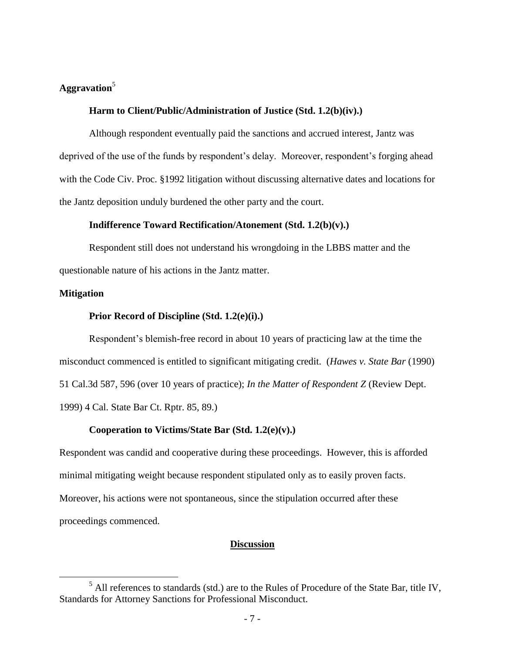# **Aggravation**<sup>5</sup>

# **Harm to Client/Public/Administration of Justice (Std. 1.2(b)(iv).)**

Although respondent eventually paid the sanctions and accrued interest, Jantz was deprived of the use of the funds by respondent's delay. Moreover, respondent's forging ahead with the Code Civ. Proc. §1992 litigation without discussing alternative dates and locations for the Jantz deposition unduly burdened the other party and the court.

### **Indifference Toward Rectification/Atonement (Std. 1.2(b)(v).)**

Respondent still does not understand his wrongdoing in the LBBS matter and the questionable nature of his actions in the Jantz matter.

### **Mitigation**

 $\overline{a}$ 

### **Prior Record of Discipline (Std. 1.2(e)(i).)**

Respondent's blemish-free record in about 10 years of practicing law at the time the misconduct commenced is entitled to significant mitigating credit. (*Hawes v. State Bar* (1990) 51 Cal.3d 587, 596 (over 10 years of practice); *In the Matter of Respondent Z* (Review Dept. 1999) 4 Cal. State Bar Ct. Rptr. 85, 89.)

### **Cooperation to Victims/State Bar (Std. 1.2(e)(v).)**

Respondent was candid and cooperative during these proceedings. However, this is afforded minimal mitigating weight because respondent stipulated only as to easily proven facts. Moreover, his actions were not spontaneous, since the stipulation occurred after these proceedings commenced.

### **Discussion**

 $<sup>5</sup>$  All references to standards (std.) are to the Rules of Procedure of the State Bar, title IV,</sup> Standards for Attorney Sanctions for Professional Misconduct.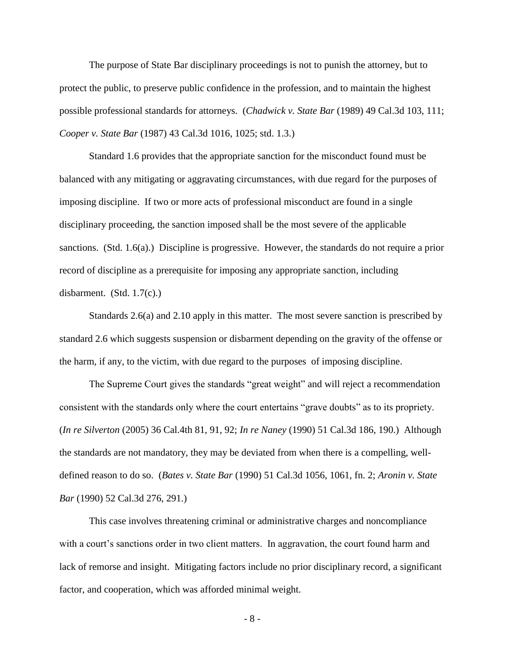The purpose of State Bar disciplinary proceedings is not to punish the attorney, but to protect the public, to preserve public confidence in the profession, and to maintain the highest possible professional standards for attorneys. (*Chadwick v. State Bar* (1989) 49 Cal.3d 103, 111; *Cooper v. State Bar* (1987) 43 Cal.3d 1016, 1025; std. 1.3.)

Standard 1.6 provides that the appropriate sanction for the misconduct found must be balanced with any mitigating or aggravating circumstances, with due regard for the purposes of imposing discipline. If two or more acts of professional misconduct are found in a single disciplinary proceeding, the sanction imposed shall be the most severe of the applicable sanctions. (Std. 1.6(a).) Discipline is progressive. However, the standards do not require a prior record of discipline as a prerequisite for imposing any appropriate sanction, including disbarment. (Std.  $1.7(c)$ .)

Standards 2.6(a) and 2.10 apply in this matter. The most severe sanction is prescribed by standard 2.6 which suggests suspension or disbarment depending on the gravity of the offense or the harm, if any, to the victim, with due regard to the purposes of imposing discipline.

The Supreme Court gives the standards "great weight" and will reject a recommendation consistent with the standards only where the court entertains "grave doubts" as to its propriety. (*In re Silverton* (2005) 36 Cal.4th 81, 91, 92; *In re Naney* (1990) 51 Cal.3d 186, 190.) Although the standards are not mandatory, they may be deviated from when there is a compelling, welldefined reason to do so. (*Bates v. State Bar* (1990) 51 Cal.3d 1056, 1061, fn. 2; *Aronin v. State Bar* (1990) 52 Cal.3d 276, 291.)

This case involves threatening criminal or administrative charges and noncompliance with a court's sanctions order in two client matters. In aggravation, the court found harm and lack of remorse and insight. Mitigating factors include no prior disciplinary record, a significant factor, and cooperation, which was afforded minimal weight.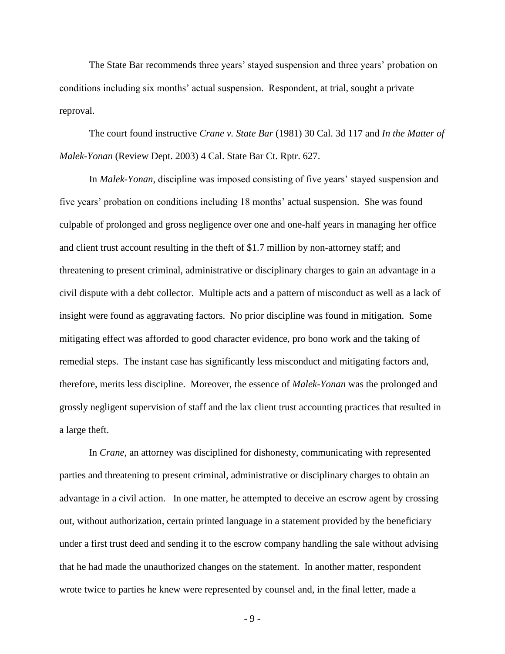The State Bar recommends three years' stayed suspension and three years' probation on conditions including six months' actual suspension. Respondent, at trial, sought a private reproval.

The court found instructive *Crane v. State Bar* (1981) 30 Cal. 3d 117 and *In the Matter of Malek-Yonan* (Review Dept. 2003) 4 Cal. State Bar Ct. Rptr. 627.

In *Malek-Yonan*, discipline was imposed consisting of five years' stayed suspension and five years' probation on conditions including 18 months' actual suspension. She was found culpable of prolonged and gross negligence over one and one-half years in managing her office and client trust account resulting in the theft of \$1.7 million by non-attorney staff; and threatening to present criminal, administrative or disciplinary charges to gain an advantage in a civil dispute with a debt collector. Multiple acts and a pattern of misconduct as well as a lack of insight were found as aggravating factors. No prior discipline was found in mitigation. Some mitigating effect was afforded to good character evidence, pro bono work and the taking of remedial steps. The instant case has significantly less misconduct and mitigating factors and, therefore, merits less discipline. Moreover, the essence of *Malek-Yonan* was the prolonged and grossly negligent supervision of staff and the lax client trust accounting practices that resulted in a large theft.

In *Crane*, an attorney was disciplined for dishonesty, communicating with represented parties and threatening to present criminal, administrative or disciplinary charges to obtain an advantage in a civil action. In one matter, he attempted to deceive an escrow agent by crossing out, without authorization, certain printed language in a statement provided by the beneficiary under a first trust deed and sending it to the escrow company handling the sale without advising that he had made the unauthorized changes on the statement. In another matter, respondent wrote twice to parties he knew were represented by counsel and, in the final letter, made a

- 9 -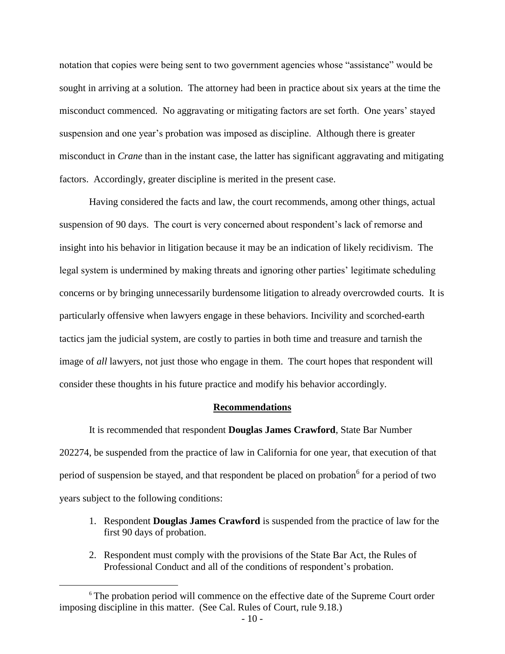notation that copies were being sent to two government agencies whose "assistance" would be sought in arriving at a solution. The attorney had been in practice about six years at the time the misconduct commenced. No aggravating or mitigating factors are set forth. One years' stayed suspension and one year's probation was imposed as discipline. Although there is greater misconduct in *Crane* than in the instant case, the latter has significant aggravating and mitigating factors. Accordingly, greater discipline is merited in the present case.

Having considered the facts and law, the court recommends, among other things, actual suspension of 90 days. The court is very concerned about respondent's lack of remorse and insight into his behavior in litigation because it may be an indication of likely recidivism. The legal system is undermined by making threats and ignoring other parties' legitimate scheduling concerns or by bringing unnecessarily burdensome litigation to already overcrowded courts. It is particularly offensive when lawyers engage in these behaviors. Incivility and scorched-earth tactics jam the judicial system, are costly to parties in both time and treasure and tarnish the image of *all* lawyers, not just those who engage in them. The court hopes that respondent will consider these thoughts in his future practice and modify his behavior accordingly.

### **Recommendations**

It is recommended that respondent **Douglas James Crawford**, State Bar Number 202274, be suspended from the practice of law in California for one year, that execution of that period of suspension be stayed, and that respondent be placed on probation <sup>6</sup> for a period of two years subject to the following conditions:

- 1. Respondent **Douglas James Crawford** is suspended from the practice of law for the first 90 days of probation.
- 2. Respondent must comply with the provisions of the State Bar Act, the Rules of Professional Conduct and all of the conditions of respondent's probation.

 $\overline{a}$ 

<sup>&</sup>lt;sup>6</sup> The probation period will commence on the effective date of the Supreme Court order imposing discipline in this matter. (See Cal. Rules of Court, rule 9.18.)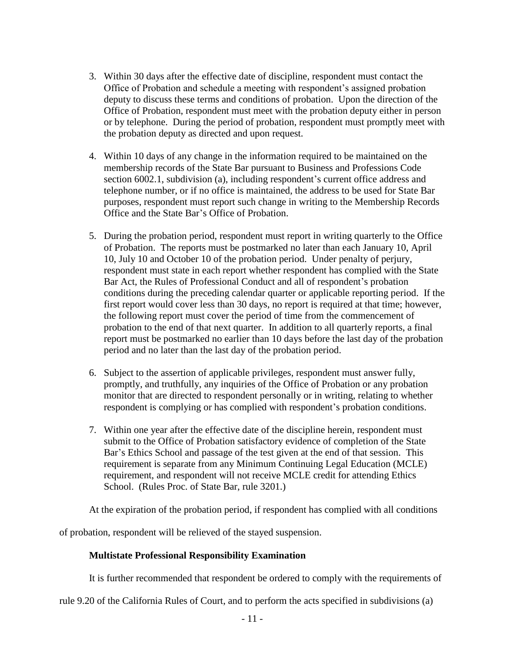- 3. Within 30 days after the effective date of discipline, respondent must contact the Office of Probation and schedule a meeting with respondent's assigned probation deputy to discuss these terms and conditions of probation. Upon the direction of the Office of Probation, respondent must meet with the probation deputy either in person or by telephone. During the period of probation, respondent must promptly meet with the probation deputy as directed and upon request.
- 4. Within 10 days of any change in the information required to be maintained on the membership records of the State Bar pursuant to Business and Professions Code section 6002.1, subdivision (a), including respondent's current office address and telephone number, or if no office is maintained, the address to be used for State Bar purposes, respondent must report such change in writing to the Membership Records Office and the State Bar's Office of Probation.
- 5. During the probation period, respondent must report in writing quarterly to the Office of Probation. The reports must be postmarked no later than each January 10, April 10, July 10 and October 10 of the probation period. Under penalty of perjury, respondent must state in each report whether respondent has complied with the State Bar Act, the Rules of Professional Conduct and all of respondent's probation conditions during the preceding calendar quarter or applicable reporting period. If the first report would cover less than 30 days, no report is required at that time; however, the following report must cover the period of time from the commencement of probation to the end of that next quarter. In addition to all quarterly reports, a final report must be postmarked no earlier than 10 days before the last day of the probation period and no later than the last day of the probation period.
- 6. Subject to the assertion of applicable privileges, respondent must answer fully, promptly, and truthfully, any inquiries of the Office of Probation or any probation monitor that are directed to respondent personally or in writing, relating to whether respondent is complying or has complied with respondent's probation conditions.
- 7. Within one year after the effective date of the discipline herein, respondent must submit to the Office of Probation satisfactory evidence of completion of the State Bar's Ethics School and passage of the test given at the end of that session. This requirement is separate from any Minimum Continuing Legal Education (MCLE) requirement, and respondent will not receive MCLE credit for attending Ethics School. (Rules Proc. of State Bar, rule 3201.)

At the expiration of the probation period, if respondent has complied with all conditions

of probation, respondent will be relieved of the stayed suspension.

# **Multistate Professional Responsibility Examination**

It is further recommended that respondent be ordered to comply with the requirements of

rule 9.20 of the California Rules of Court, and to perform the acts specified in subdivisions (a)